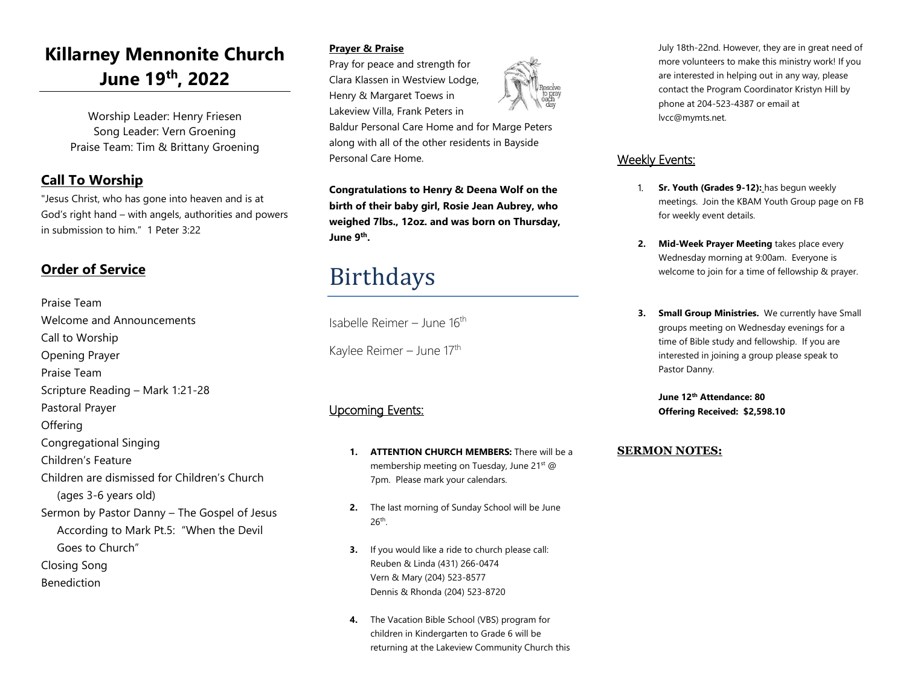# **Killarney Mennonite Church June 19 th, 2022**

Worship Leader: Henry Friesen Song Leader: Vern Groening Praise Team: Tim & Brittany Groening

## **Call To Worship**

"Jesus Christ, who has gone into heaven and is at God's right hand – with angels, authorities and powers in submission to him." 1 Peter 3:22

## **Order of Service**

Praise Team Welcome and Announcements Call to Worship Opening Prayer Praise Team Scripture Reading – Mark 1:21-28 Pastoral Prayer **Offering** Congregational Singing Children's Feature Children are dismissed for Children's Church (ages 3-6 years old) Sermon by Pastor Danny – The Gospel of Jesus According to Mark Pt.5: "When the Devil Goes to Church" Closing Song Benediction

### **Prayer & Praise**

Pray for peace and strength for Clara Klassen in Westview Lodge, Henry & Margaret Toews in Lakeview Villa, Frank Peters in

Baldur Personal Care Home and for Marge Peters along with all of the other residents in Bayside Personal Care Home.

**Congratulations to Henry & Deena Wolf on the birth of their baby girl, Rosie Jean Aubrey, who weighed 7lbs., 12oz. and was born on Thursday, June 9th .**

# Birthdays

Isabelle Reimer – June 16<sup>th</sup>

Kaylee Reimer – June 17<sup>th</sup>

### Upcoming Events:

- **1. ATTENTION CHURCH MEMBERS:** There will be a membership meeting on Tuesday, June 21<sup>st</sup> @ 7pm. Please mark your calendars.
- **2.** The last morning of Sunday School will be June 26th .
- **3.** If you would like a ride to church please call: Reuben & Linda (431) 266-0474 Vern & Mary (204) 523-8577 Dennis & Rhonda (204) 523-8720
- **4.** The Vacation Bible School (VBS) program for children in Kindergarten to Grade 6 will be returning at the Lakeview Community Church this



### Weekly Events:

- 1. **Sr. Youth (Grades 9-12):** has begun weekly meetings. Join the KBAM Youth Group page on FB for weekly event details.
- **2. Mid-Week Prayer Meeting** takes place every Wednesday morning at 9:00am. Everyone is welcome to join for a time of fellowship & prayer.
- **3. Small Group Ministries.** We currently have Small groups meeting on Wednesday evenings for a time of Bible study and fellowship. If you are interested in joining a group please speak to Pastor Danny.

**June 12th Attendance: 80 Offering Received: \$2,598.10**

### **SERMON NOTES:**